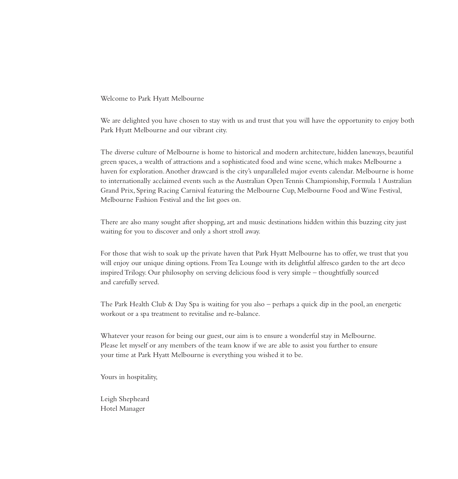Welcome to Park Hyatt Melbourne

We are delighted you have chosen to stay with us and trust that you will have the opportunity to enjoy both Park Hyatt Melbourne and our vibrant city.

The diverse culture of Melbourne is home to historical and modern architecture, hidden laneways, beautiful green spaces, a wealth of attractions and a sophisticated food and wine scene, which makes Melbourne a haven for exploration. Another drawcard is the city's unparalleled major events calendar. Melbourne is home to internationally acclaimed events such as the Australian Open Tennis Championship, Formula 1 Australian Grand Prix, Spring Racing Carnival featuring the Melbourne Cup, Melbourne Food and Wine Festival, Melbourne Fashion Festival and the list goes on.

There are also many sought after shopping, art and music destinations hidden within this buzzing city just waiting for you to discover and only a short stroll away.

For those that wish to soak up the private haven that Park Hyatt Melbourne has to offer, we trust that you will enjoy our unique dining options. From Tea Lounge with its delightful alfresco garden to the art deco inspired Trilogy. Our philosophy on serving delicious food is very simple – thoughtfully sourced and carefully served.

The Park Health Club & Day Spa is waiting for you also – perhaps a quick dip in the pool, an energetic workout or a spa treatment to revitalise and re-balance.

Whatever your reason for being our guest, our aim is to ensure a wonderful stay in Melbourne. Please let myself or any members of the team know if we are able to assist you further to ensure your time at Park Hyatt Melbourne is everything you wished it to be.

Yours in hospitality,

Leigh Shepheard Hotel Manager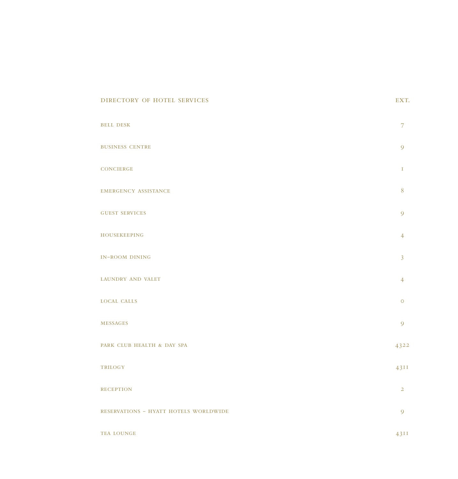#### DIRECTORY OF HOTEL SERVICES EXT.

| <b>BELL DESK</b>                      | 7              |
|---------------------------------------|----------------|
| <b>BUSINESS CENTRE</b>                | 9              |
| <b>CONCIERGE</b>                      | Ι              |
| <b>EMERGENCY ASSISTANCE</b>           | 8              |
| <b>GUEST SERVICES</b>                 | 9              |
| <b>HOUSEKEEPING</b>                   | $\overline{4}$ |
| <b>IN-ROOM DINING</b>                 | $\overline{3}$ |
| <b>LAUNDRY AND VALET</b>              | $\overline{4}$ |
| <b>LOCAL CALLS</b>                    | $\circ$        |
| <b>MESSAGES</b>                       | 9              |
| PARK CLUB HEALTH & DAY SPA            | 4322           |
| TRILOGY                               | 43II           |
| <b>RECEPTION</b>                      | $\overline{2}$ |
| RESERVATIONS - HYATT HOTELS WORLDWIDE | 9              |
| <b>TEA LOUNGE</b>                     | 43II           |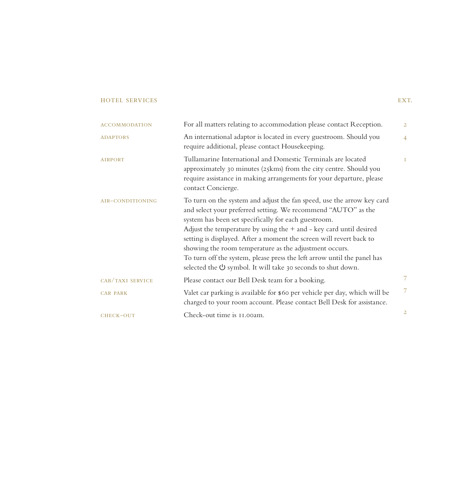| <b>ACCOMMODATION</b> | For all matters relating to accommodation please contact Reception.                                                                                                                                                                                                                                                                                                                                                                                                                                                                                           | $\overline{2}$ |
|----------------------|---------------------------------------------------------------------------------------------------------------------------------------------------------------------------------------------------------------------------------------------------------------------------------------------------------------------------------------------------------------------------------------------------------------------------------------------------------------------------------------------------------------------------------------------------------------|----------------|
| <b>ADAPTORS</b>      | An international adaptor is located in every guestroom. Should you<br>require additional, please contact Housekeeping.                                                                                                                                                                                                                                                                                                                                                                                                                                        | $\overline{4}$ |
| <b>AIRPORT</b>       | Tullamarine International and Domestic Terminals are located<br>approximately 30 minutes (25kms) from the city centre. Should you<br>require assistance in making arrangements for your departure, please<br>contact Concierge.                                                                                                                                                                                                                                                                                                                               | T.             |
| AIR-CONDITIONING     | To turn on the system and adjust the fan speed, use the arrow key card<br>and select your preferred setting. We recommend "AUTO" as the<br>system has been set specifically for each guestroom.<br>Adjust the temperature by using the $+$ and $-$ key card until desired<br>setting is displayed. After a moment the screen will revert back to<br>showing the room temperature as the adjustment occurs.<br>To turn off the system, please press the left arrow until the panel has<br>selected the $\bigcup$ symbol. It will take 30 seconds to shut down. |                |
| CAB/TAXI SERVICE     | Please contact our Bell Desk team for a booking.                                                                                                                                                                                                                                                                                                                                                                                                                                                                                                              | 7              |
| <b>CAR PARK</b>      | Valet car parking is available for \$60 per vehicle per day, which will be<br>charged to your room account. Please contact Bell Desk for assistance.                                                                                                                                                                                                                                                                                                                                                                                                          | $\mathcal{T}$  |
| CHECK-OUT            | Check-out time is 11.00am.                                                                                                                                                                                                                                                                                                                                                                                                                                                                                                                                    | $\overline{2}$ |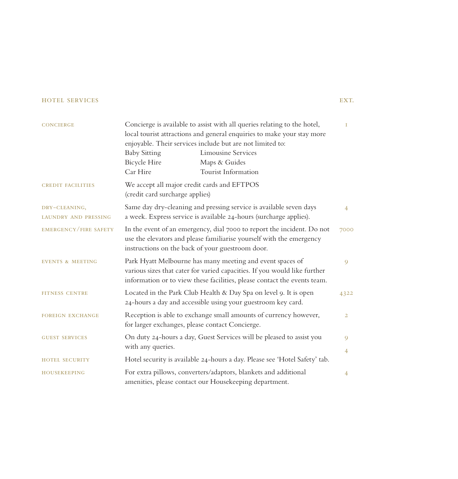# concierge Concierge is available to assist with all queries relating to the hotel, local tourist attractions and general enquiries to make your stay more enjoyable. Their services include but are not limited to: Baby Sitting Limousine Services Bicycle Hire Maps & Guides Car Hire Tourist Information credit facilities We accept all major credit cards and EFTPOS (credit card surcharge applies) dry-cleaning, Same day dry-cleaning and pressing service is available seven days laundry and pressing a week. Express service is available 24-hours (surcharge applies). emergency/fire safety In the event of an emergency, dial 7000 to report the incident. Do not use the elevators and please familiarise yourself with the emergency instructions on the back of your guestroom door. EVENTS & MEETING Park Hyatt Melbourne has many meeting and event spaces of various sizes that cater for varied capacities. If you would like further information or to view these facilities, please contact the events team. FITNESS CENTRE Located in the Park Club Health & Day Spa on level 9. It is open 24-hours a day and accessible using your guestroom key card. FOREIGN EXCHANGE Reception is able to exchange small amounts of currency however, for larger exchanges, please contact Concierge. guest services On duty 24-hours a day, Guest Services will be pleased to assist you with any queries. hotel security Hotel security is available 24-hours a day. Please see 'Hotel Safety' tab. housekeeping For extra pillows, converters/adaptors, blankets and additional amenities, please contact our Housekeeping department. 1 4 7000  $\overline{Q}$ 4322 2 9 4 4

EXT.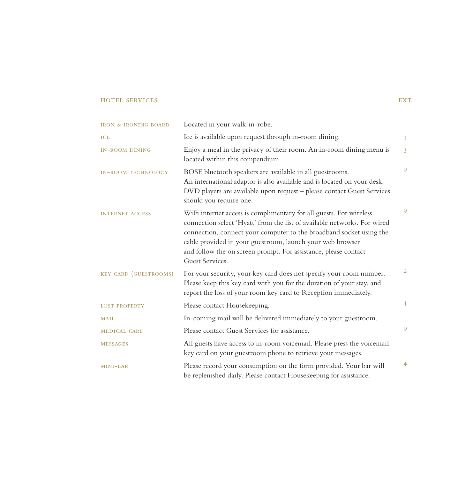| <b>IRON &amp; IRONING BOARD</b> | Located in your walk-in-robe.                                                                                                                                                                                                                                                                                                                                            |                |
|---------------------------------|--------------------------------------------------------------------------------------------------------------------------------------------------------------------------------------------------------------------------------------------------------------------------------------------------------------------------------------------------------------------------|----------------|
| <b>ICE</b>                      | Ice is available upon request through in-room dining.                                                                                                                                                                                                                                                                                                                    | $\overline{3}$ |
| <b>IN-ROOM DINING</b>           | Enjoy a meal in the privacy of their room. An in-room dining menu is<br>located within this compendium.                                                                                                                                                                                                                                                                  | $\overline{3}$ |
| <b>IN-ROOM TECHNOLOGY</b>       | BOSE bluetooth speakers are available in all guestrooms.<br>An international adaptor is also available and is located on your desk.<br>DVD players are available upon request - please contact Guest Services<br>should you require one.                                                                                                                                 | 9              |
| <b>INTERNET ACCESS</b>          | WiFi internet access is complimentary for all guests. For wireless<br>connection select 'Hyatt' from the list of available networks. For wired<br>connection, connect your computer to the broadband socket using the<br>cable provided in your guestroom, launch your web browser<br>and follow the on screen prompt. For assistance, please contact<br>Guest Services. | 9              |
| KEY CARD (GUESTROOMS)           | For your security, your key card does not specify your room number.<br>Please keep this key card with you for the duration of your stay, and<br>report the loss of your room key card to Reception immediately.                                                                                                                                                          | $\overline{2}$ |
| <b>LOST PROPERTY</b>            | Please contact Housekeeping.                                                                                                                                                                                                                                                                                                                                             | $\overline{4}$ |
| MAIL                            | In-coming mail will be delivered immediately to your guestroom.                                                                                                                                                                                                                                                                                                          |                |
| <b>MEDICAL CARE</b>             | Please contact Guest Services for assistance.                                                                                                                                                                                                                                                                                                                            | 9              |
| <b>MESSAGES</b>                 | All guests have access to in-room voicemail. Please press the voicemail<br>key card on your guestroom phone to retrieve your messages.                                                                                                                                                                                                                                   |                |
| MINI-BAR                        | Please record your consumption on the form provided. Your bar will<br>be replenished daily. Please contact Housekeeping for assistance.                                                                                                                                                                                                                                  | 4              |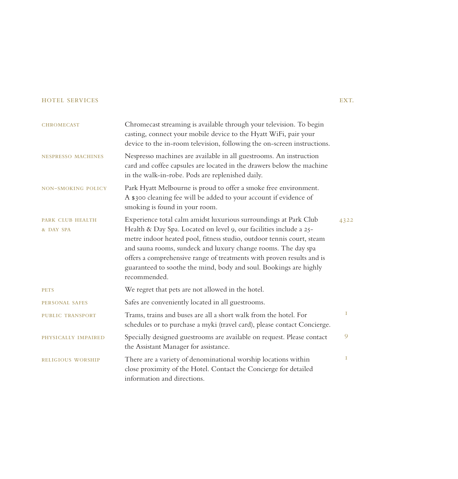| <b>CHROMECAST</b>         | Chromecast streaming is available through your television. To begin<br>casting, connect your mobile device to the Hyatt WiFi, pair your<br>device to the in-room television, following the on-screen instructions.                                                                                                                                                         |      |
|---------------------------|----------------------------------------------------------------------------------------------------------------------------------------------------------------------------------------------------------------------------------------------------------------------------------------------------------------------------------------------------------------------------|------|
| <b>NESPRESSO MACHINES</b> | Nespresso machines are available in all guestrooms. An instruction<br>card and coffee capsules are located in the drawers below the machine<br>in the walk-in-robe. Pods are replenished daily.                                                                                                                                                                            |      |
| <b>NON-SMOKING POLICY</b> | Park Hyatt Melbourne is proud to offer a smoke free environment.<br>A \$300 cleaning fee will be added to your account if evidence of<br>smoking is found in your room.                                                                                                                                                                                                    |      |
| <b>PARK CLUB HEALTH</b>   | Experience total calm amidst luxurious surroundings at Park Club                                                                                                                                                                                                                                                                                                           | 4322 |
| & DAY SPA                 | Health & Day Spa. Located on level 9, our facilities include a 25-<br>metre indoor heated pool, fitness studio, outdoor tennis court, steam<br>and sauna rooms, sundeck and luxury change rooms. The day spa<br>offers a comprehensive range of treatments with proven results and is<br>guaranteed to soothe the mind, body and soul. Bookings are highly<br>recommended. |      |
| <b>PETS</b>               | We regret that pets are not allowed in the hotel.                                                                                                                                                                                                                                                                                                                          |      |
| <b>PERSONAL SAFES</b>     | Safes are conveniently located in all guestrooms.                                                                                                                                                                                                                                                                                                                          |      |
| <b>PUBLIC TRANSPORT</b>   | Trams, trains and buses are all a short walk from the hotel. For<br>schedules or to purchase a myki (travel card), please contact Concierge.                                                                                                                                                                                                                               | I.   |
| PHYSICALLY IMPAIRED       | Specially designed guestrooms are available on request. Please contact<br>the Assistant Manager for assistance.                                                                                                                                                                                                                                                            | 9    |
| <b>RELIGIOUS WORSHIP</b>  | There are a variety of denominational worship locations within<br>close proximity of the Hotel. Contact the Concierge for detailed<br>information and directions.                                                                                                                                                                                                          | I    |

# EXT.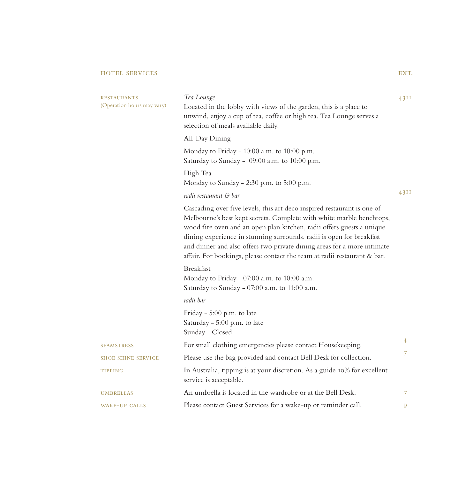| <b>RESTAURANTS</b><br>(Operation hours may vary) | Tea Lounge<br>Located in the lobby with views of the garden, this is a place to<br>unwind, enjoy a cup of tea, coffee or high tea. Tea Lounge serves a<br>selection of meals available daily.                                                                                                                                                                                                                                                           | 4311 |
|--------------------------------------------------|---------------------------------------------------------------------------------------------------------------------------------------------------------------------------------------------------------------------------------------------------------------------------------------------------------------------------------------------------------------------------------------------------------------------------------------------------------|------|
|                                                  | All-Day Dining                                                                                                                                                                                                                                                                                                                                                                                                                                          |      |
|                                                  | Monday to Friday - 10:00 a.m. to 10:00 p.m.<br>Saturday to Sunday - 09:00 a.m. to 10:00 p.m.                                                                                                                                                                                                                                                                                                                                                            |      |
|                                                  | High Tea<br>Monday to Sunday - 2:30 p.m. to 5:00 p.m.                                                                                                                                                                                                                                                                                                                                                                                                   |      |
|                                                  | radii restaurant & bar                                                                                                                                                                                                                                                                                                                                                                                                                                  | 4311 |
|                                                  | Cascading over five levels, this art deco inspired restaurant is one of<br>Melbourne's best kept secrets. Complete with white marble benchtops,<br>wood fire oven and an open plan kitchen, radii offers guests a unique<br>dining experience in stunning surrounds. radii is open for breakfast<br>and dinner and also offers two private dining areas for a more intimate<br>affair. For bookings, please contact the team at radii restaurant & bar. |      |
|                                                  | <b>Breakfast</b><br>Monday to Friday - 07:00 a.m. to 10:00 a.m.<br>Saturday to Sunday - 07:00 a.m. to 11:00 a.m.                                                                                                                                                                                                                                                                                                                                        |      |
|                                                  | radii bar                                                                                                                                                                                                                                                                                                                                                                                                                                               |      |
|                                                  | Friday - 5:00 p.m. to late<br>Saturday - 5:00 p.m. to late<br>Sunday - Closed                                                                                                                                                                                                                                                                                                                                                                           |      |
| <b>SEAMSTRESS</b>                                | For small clothing emergencies please contact Housekeeping.                                                                                                                                                                                                                                                                                                                                                                                             | 4    |
| <b>SHOE SHINE SERVICE</b>                        | Please use the bag provided and contact Bell Desk for collection.                                                                                                                                                                                                                                                                                                                                                                                       | 7    |
| <b>TIPPING</b>                                   | In Australia, tipping is at your discretion. As a guide 10% for excellent<br>service is acceptable.                                                                                                                                                                                                                                                                                                                                                     |      |
| <b>UMBRELLAS</b>                                 | An umbrella is located in the wardrobe or at the Bell Desk.                                                                                                                                                                                                                                                                                                                                                                                             | 7    |
| <b>WAKE-UP CALLS</b>                             | Please contact Guest Services for a wake-up or reminder call.                                                                                                                                                                                                                                                                                                                                                                                           | 9    |

EXT.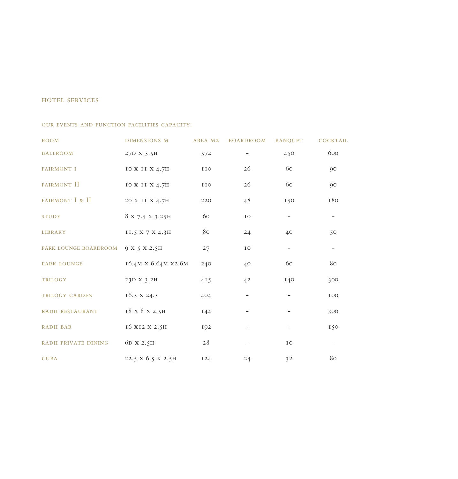#### our events and function facilities capacity:

| <b>ROOM</b>                 | <b>DIMENSIONS M</b> | AREA M2    | <b>BOARDROOM</b>  | <b>BANQUET</b>    | <b>COCKTAIL</b> |
|-----------------------------|---------------------|------------|-------------------|-------------------|-----------------|
| <b>BALLROOM</b>             | 27D X 5.5H          | 572        |                   | 450               | 600             |
| <b>FAIRMONT I</b>           | IO X II X 4.7H      | IIO        | 26                | 60                | 90              |
| FAIRMONT II                 | IO X II X 4.7H      | IIO        | 26                | 60                | $90^{\circ}$    |
| FAIRMONT I & II             | 20 X II X 4.7H      | 220        | 48                | 150               | 180             |
| <b>STUDY</b>                | 8 X 7.5 X 3.25H     | 60         | IO                | $\qquad \qquad -$ |                 |
| <b>LIBRARY</b>              | II.5 X 7 X 4.3H     | 80         | 24                | 40                | 50              |
| PARK LOUNGE BOARDROOM       | 9 X 5 X 2.5H        | 27         | IO                | $\qquad \qquad -$ |                 |
| <b>PARK LOUNGE</b>          | 16.4M X 6.64M X2.6M | 240        | 40                | 60                | 80              |
| <b>TRILOGY</b>              | 23D X 3.2H          | 415        | 4 <sup>2</sup>    | 140               | 300             |
| TRILOGY GARDEN              | $16.5 \times 24.5$  | 404        | $\qquad \qquad -$ | -                 | 100             |
| RADII RESTAURANT            | 18 x 8 x 2.5H       | 144        |                   |                   | 300             |
| <b>RADII BAR</b>            | 16 X12 X 2.5H       | 192        |                   |                   | 150             |
| <b>RADII PRIVATE DINING</b> | 6D X 2.5H           | 28         |                   | IO                |                 |
| <b>CUBA</b>                 | 22.5 X 6.5 X 2.5H   | <b>I24</b> | 24                | 32                | 80              |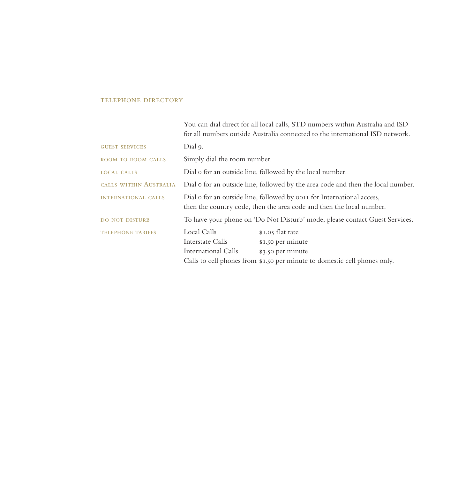### telephone directory

|                            |                                                                                                                                                | You can dial direct for all local calls, STD numbers within Australia and ISD<br>for all numbers outside Australia connected to the international ISD network. |  |
|----------------------------|------------------------------------------------------------------------------------------------------------------------------------------------|----------------------------------------------------------------------------------------------------------------------------------------------------------------|--|
| <b>GUEST SERVICES</b>      | Dial 9.                                                                                                                                        |                                                                                                                                                                |  |
| ROOM TO ROOM CALLS         | Simply dial the room number.                                                                                                                   |                                                                                                                                                                |  |
| <b>LOCAL CALLS</b>         | Dial o for an outside line, followed by the local number.                                                                                      |                                                                                                                                                                |  |
| CALLS WITHIN AUSTRALIA     | Dial o for an outside line, followed by the area code and then the local number.                                                               |                                                                                                                                                                |  |
| <b>INTERNATIONAL CALLS</b> | Dial o for an outside line, followed by ooth for International access,<br>then the country code, then the area code and then the local number. |                                                                                                                                                                |  |
| <b>DO NOT DISTURB</b>      |                                                                                                                                                | To have your phone on 'Do Not Disturb' mode, please contact Guest Services.                                                                                    |  |
| <b>TELEPHONE TARIFFS</b>   | Local Calls<br>Interstate Calls<br>International Calls                                                                                         | \$1.05 flat rate<br>\$1.50 per minute<br>\$3.50 per minute<br>Calls to cell phones from \$1.50 per minute to domestic cell phones only.                        |  |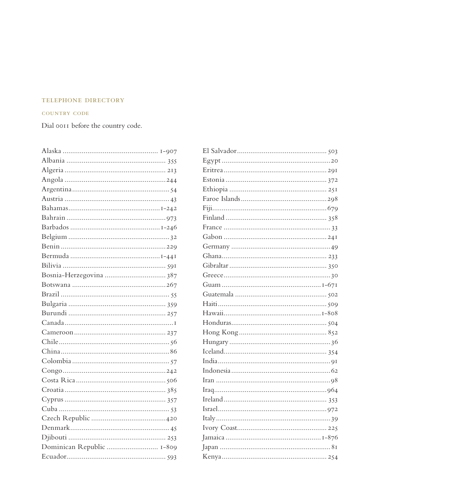# TELEPHONE DIRECTORY

# COUNTRY CODE

Dial oo11 before the country code.

| Dominican Republic  I-809 |
|---------------------------|
|                           |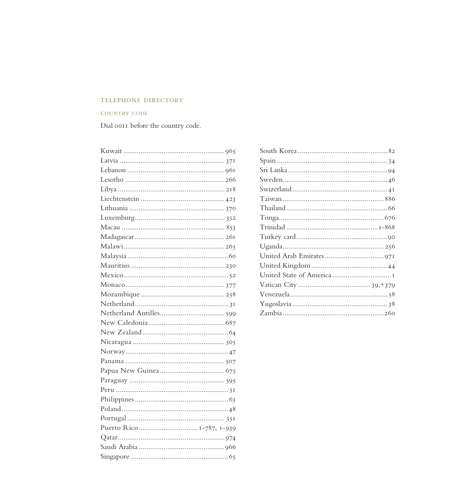# TELEPHONE DIRECTORY

## **COUNTRY CODE**

Dial oo11 before the country code.

| Puerto Rico I-787, I-939 |  |
|--------------------------|--|
|                          |  |
|                          |  |
|                          |  |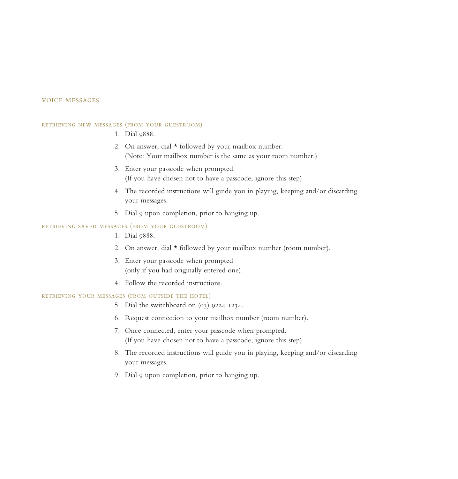#### voice messages

#### retrieving new messages (from your guestroom)

- 1. Dial 9888.
- 2. On answer, dial  $\star$  followed by your mailbox number. (Note: Your mailbox number is the same as your room number.)
- 3. Enter your passcode when prompted. (If you have chosen not to have a passcode, ignore this step)
- 4. The recorded instructions will guide you in playing, keeping and/or discarding your messages.
- 5. Dial 9 upon completion, prior to hanging up.

# retrieving saved messages (from your guestroom)

- 1. Dial 9888.
- 2. On answer, dial \* followed by your mailbox number (room number).
- 3. Enter your passcode when prompted (only if you had originally entered one).
- 4. Follow the recorded instructions.

## retrieving your messages (from outside the hotel)

- 5. Dial the switchboard on (03) 9224 1234.
- 6. Request connection to your mailbox number (room number).
- 7. Once connected, enter your passcode when prompted. (If you have chosen not to have a passcode, ignore this step).
- 8. The recorded instructions will guide you in playing, keeping and/or discarding your messages.
- 9. Dial 9 upon completion, prior to hanging up.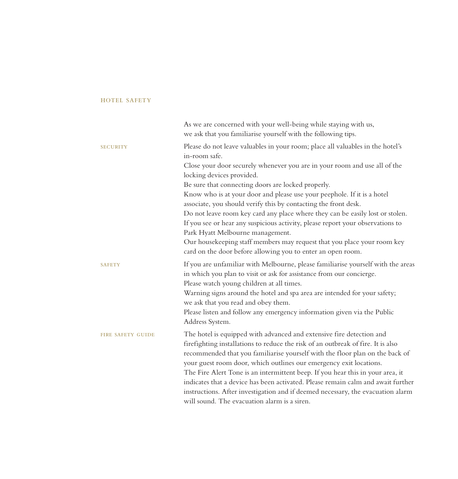# hotel safety

|                          | As we are concerned with your well-being while staying with us,<br>we ask that you familiarise yourself with the following tips.                                                                                                                                                                                                                                                                                                                                                                                                                                                                                                                                                                                                                               |
|--------------------------|----------------------------------------------------------------------------------------------------------------------------------------------------------------------------------------------------------------------------------------------------------------------------------------------------------------------------------------------------------------------------------------------------------------------------------------------------------------------------------------------------------------------------------------------------------------------------------------------------------------------------------------------------------------------------------------------------------------------------------------------------------------|
| <b>SECURITY</b>          | Please do not leave valuables in your room; place all valuables in the hotel's<br>in-room safe.<br>Close your door securely whenever you are in your room and use all of the<br>locking devices provided.<br>Be sure that connecting doors are locked properly.<br>Know who is at your door and please use your peephole. If it is a hotel<br>associate, you should verify this by contacting the front desk.<br>Do not leave room key card any place where they can be easily lost or stolen.<br>If you see or hear any suspicious activity, please report your observations to<br>Park Hyatt Melbourne management.<br>Our housekeeping staff members may request that you place your room key<br>card on the door before allowing you to enter an open room. |
| <b>SAFETY</b>            | If you are unfamiliar with Melbourne, please familiarise yourself with the areas<br>in which you plan to visit or ask for assistance from our concierge.<br>Please watch young children at all times.<br>Warning signs around the hotel and spa area are intended for your safety;<br>we ask that you read and obey them.<br>Please listen and follow any emergency information given via the Public<br>Address System.                                                                                                                                                                                                                                                                                                                                        |
| <b>FIRE SAFETY GUIDE</b> | The hotel is equipped with advanced and extensive fire detection and<br>firefighting installations to reduce the risk of an outbreak of fire. It is also<br>recommended that you familiarise yourself with the floor plan on the back of<br>your guest room door, which outlines our emergency exit locations.<br>The Fire Alert Tone is an intermittent beep. If you hear this in your area, it<br>indicates that a device has been activated. Please remain calm and await further<br>instructions. After investigation and if deemed necessary, the evacuation alarm<br>will sound. The evacuation alarm is a siren.                                                                                                                                        |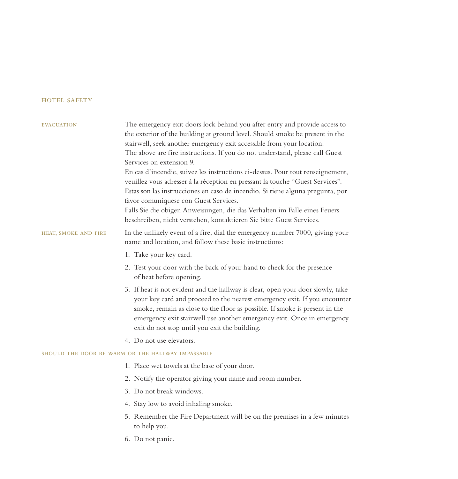# hotel safety

| <b>EVACUATION</b>    | The emergency exit doors lock behind you after entry and provide access to<br>the exterior of the building at ground level. Should smoke be present in the<br>stairwell, seek another emergency exit accessible from your location.<br>The above are fire instructions. If you do not understand, please call Guest<br>Services on extension 9.<br>En cas d'incendie, suivez les instructions ci-dessus. Pour tout renseignement,<br>veuillez vous adresser à la réception en pressant la touche "Guest Services".<br>Estas son las instrucciones en caso de incendio. Si tiene alguna pregunta, por<br>favor comuniquese con Guest Services.<br>Falls Sie die obigen Anweisungen, die das Verhalten im Falle eines Feuers<br>beschreiben, nicht verstehen, kontaktieren Sie bitte Guest Services. |
|----------------------|----------------------------------------------------------------------------------------------------------------------------------------------------------------------------------------------------------------------------------------------------------------------------------------------------------------------------------------------------------------------------------------------------------------------------------------------------------------------------------------------------------------------------------------------------------------------------------------------------------------------------------------------------------------------------------------------------------------------------------------------------------------------------------------------------|
| HEAT, SMOKE AND FIRE | In the unlikely event of a fire, dial the emergency number 7000, giving your<br>name and location, and follow these basic instructions:                                                                                                                                                                                                                                                                                                                                                                                                                                                                                                                                                                                                                                                            |
|                      | 1. Take your key card.                                                                                                                                                                                                                                                                                                                                                                                                                                                                                                                                                                                                                                                                                                                                                                             |
|                      | 2. Test your door with the back of your hand to check for the presence<br>of heat before opening.                                                                                                                                                                                                                                                                                                                                                                                                                                                                                                                                                                                                                                                                                                  |
|                      | 3. If heat is not evident and the hallway is clear, open your door slowly, take<br>your key card and proceed to the nearest emergency exit. If you encounter<br>smoke, remain as close to the floor as possible. If smoke is present in the<br>emergency exit stairwell use another emergency exit. Once in emergency<br>exit do not stop until you exit the building.                                                                                                                                                                                                                                                                                                                                                                                                                             |
|                      | 4. Do not use elevators.                                                                                                                                                                                                                                                                                                                                                                                                                                                                                                                                                                                                                                                                                                                                                                           |
|                      | SHOULD THE DOOR BE WARM OR THE HALLWAY IMPASSABLE                                                                                                                                                                                                                                                                                                                                                                                                                                                                                                                                                                                                                                                                                                                                                  |
|                      | 1. Place wet towels at the base of your door.                                                                                                                                                                                                                                                                                                                                                                                                                                                                                                                                                                                                                                                                                                                                                      |
|                      | 2. Notify the operator giving your name and room number.                                                                                                                                                                                                                                                                                                                                                                                                                                                                                                                                                                                                                                                                                                                                           |
|                      | 3. Do not break windows.                                                                                                                                                                                                                                                                                                                                                                                                                                                                                                                                                                                                                                                                                                                                                                           |
|                      | 4. Stay low to avoid inhaling smoke.                                                                                                                                                                                                                                                                                                                                                                                                                                                                                                                                                                                                                                                                                                                                                               |
|                      | 5. Remember the Fire Department will be on the premises in a few minutes<br>to help you.                                                                                                                                                                                                                                                                                                                                                                                                                                                                                                                                                                                                                                                                                                           |
|                      | 6. Do not panic.                                                                                                                                                                                                                                                                                                                                                                                                                                                                                                                                                                                                                                                                                                                                                                                   |
|                      |                                                                                                                                                                                                                                                                                                                                                                                                                                                                                                                                                                                                                                                                                                                                                                                                    |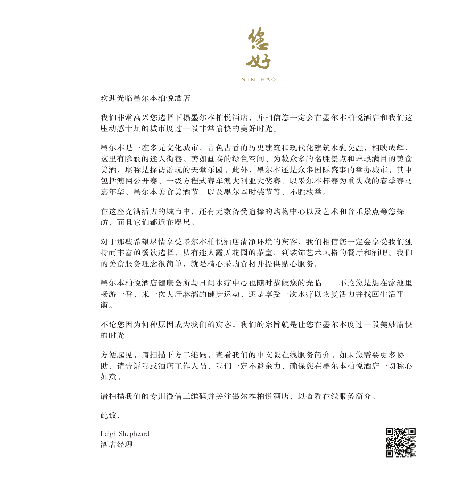

欢迎光临墨尔本柏悦酒店

我们非常高兴您选择下榻墨尔本柏悦酒店,并相信您一定会在墨尔本柏悦酒店和我们这 座动感十足的城市度过一段非常愉快的美好时光。

墨尔本是一座多元文化城市,古色古香的历史建筑和现代化建筑水乳交融,相映成辉, 这里有隐蔽的迷人街巷、美如画卷的绿色空间、为数众多的名胜景点和琳琅满目的美食 美酒,堪称是探访游玩的天堂乐园。此外,墨尔本还是众多国际盛事的举办城市,其中 包括澳网公开赛、一级方程式赛车澳大利亚大奖赛、以墨尔本杯赛为重头戏的春季赛马 嘉年华、墨尔本美食美酒节,以及墨尔本时装节等,不胜枚举。

在这座充满活力的城市中,还有无数备受追捧的购物中心以及艺术和音乐景点等您探 访,而且它们都近在咫尺。

对于那些希望尽情享受墨尔本柏悦酒店清净环境的宾客,我们相信您一定会享受我们独 特而丰富的餐饮选择,从有迷人露天花园的茶室,到装饰艺术风格的餐厅和酒吧。我们 的美食服务理念很简单,就是精心采购食材并提供贴心服务。

墨尔本柏悦酒店健康会所与日间水疗中心也随时恭候您的光临——不论您是想在泳池里 畅游一番,来一次大汗淋漓的健身运动,还是享受一次水疗以恢复活力并找回生活平 衡。

不论您因为何种原因成为我们的宾客,我们的宗旨就是让您在墨尔本度过一段美妙愉快 的时光。

方便起见,请扫描下方二维码,查看我们的中文版在线服务简介。如果您需要更多协 助,请告诉我或酒店工作人员,我们一定不遗余力,确保您在墨尔本柏悦酒店一切称心 如意。

请扫描我们的专用微信二维码并关注墨尔本柏悦酒店,以查看在线服务简介。

此致,

Leigh Shepheard 酒店经理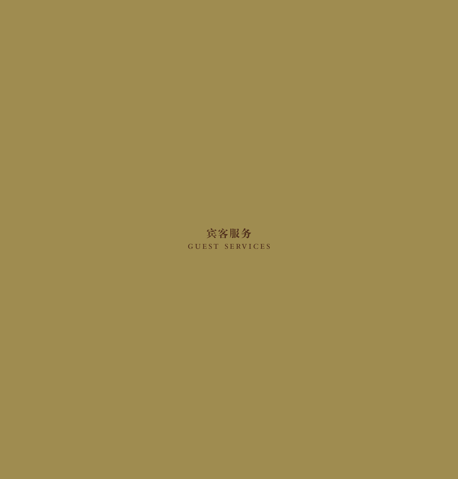# 宾客服务 guest services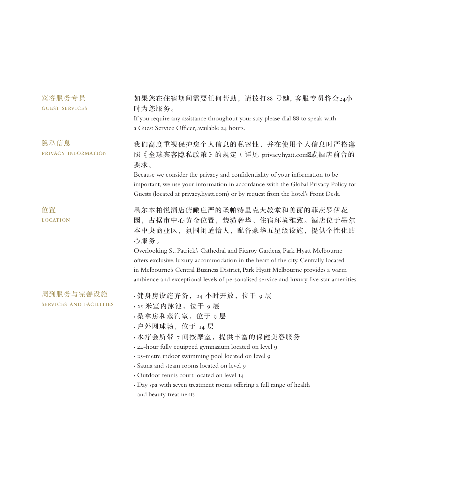| 宾客服务专员<br><b>GUEST SERVICES</b>             | 如果您在住宿期间需要任何帮助, 请拨打88号键, 客服专员将会24小<br>时为您服务。<br>If you require any assistance throughout your stay please dial 88 to speak with<br>a Guest Service Officer, available 24 hours.                                                                                                                                                                                                                                                                                  |
|---------------------------------------------|------------------------------------------------------------------------------------------------------------------------------------------------------------------------------------------------------------------------------------------------------------------------------------------------------------------------------------------------------------------------------------------------------------------------------------------------------------------|
| 隐私信息<br>PRIVACY INFORMATION                 | 我们高度重视保护您个人信息的私密性,并在使用个人信息时严格遵<br>照《全球宾客隐私政策》的规定 ( 详见 privacy.hyatt.com 或酒店前台的<br>要求。<br>Because we consider the privacy and confidentiality of your information to be<br>important, we use your information in accordance with the Global Privacy Policy for<br>Guests (located at privacy.hyatt.com) or by request from the hotel's Front Desk.                                                                                                                |
| 位置<br><b>LOCATION</b>                       | 墨尔本柏悦酒店俯瞰庄严的圣帕特里克大教堂和美丽的菲茨罗伊花<br>园,占据市中心黄金位置,装潢奢华、住宿环境雅致。酒店位于墨尔<br>本中央商业区, 氛围闲适怡人, 配备豪华五星级设施, 提供个性化贴<br>心服务。<br>Overlooking St. Patrick's Cathedral and Fitzroy Gardens, Park Hyatt Melbourne<br>offers exclusive, luxury accommodation in the heart of the city. Centrally located<br>in Melbourne's Central Business District, Park Hyatt Melbourne provides a warm<br>ambience and exceptional levels of personalised service and luxury five-star amenities. |
| 周到服务与完善设施<br><b>SERVICES AND FACILITIES</b> | ·健身房设施齐备, 24 小时开放, 位于 9 层<br>· 25 米室内泳池, 位于 9 层<br>· 桑拿房和蒸汽室, 位于 9 层<br>· 户外网球场, 位于 14 层<br>· 水疗会所带 7 间按摩室, 提供丰富的保健美容服务<br>· 24-hour fully equipped gymnasium located on level 9<br>· 25-metre indoor swimming pool located on level 9<br>· Sauna and steam rooms located on level 9<br>· Outdoor tennis court located on level 14<br>· Day spa with seven treatment rooms offering a full range of health<br>and beauty treatments                              |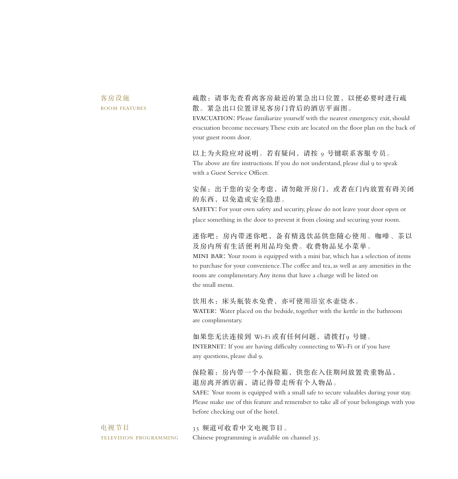客房设施 room features 疏散:请事先查看离客房最近的紧急出口位置,以便必要时进行疏 散。紧急出口位置详见客房门背后的酒店平面图。 EVACUATION: Please familiarize yourself with the nearest emergency exit, should evacuation become necessary. These exits are located on the floor plan on the back of

以上为火险应对说明。若有疑问,请按 9 号键联系客服专员。 The above are fire instructions. If you do not understand, please dial 9 to speak with a Guest Service Officer.

your guest room door.

安保:出于您的安全考虑,请勿敞开房门,或者在门内放置有碍关闭 的东西,以免造成安全隐患。

SAFETY: For your own safety and security, please do not leave your door open or place something in the door to prevent it from closing and securing your room.

迷你吧:房内带迷你吧,备有精选饮品供您随心使用。咖啡、茶以 及房内所有生活便利用品均免费。收费物品见小菜单。

mini bar: Your room is equipped with a mini bar, which has a selection of items to purchase for your convenience. The coffee and tea, as well as any amenities in the room are complimentary. Any items that have a charge will be listed on the small menu.

饮用水:床头瓶装水免费,亦可使用浴室水壶烧水。 WATER: Water placed on the bedside, together with the kettle in the bathroom are complimentary.

如果您无法连接到 Wi-Fi 或有任何问题, 请拨打 9 号键。 INTERNET: If you are having difficulty connecting to Wi-Fi or if you have any questions, please dial 9.

保险箱: 房内带一个小保险箱, 供您在入住期间放置贵重物品, 退房离开酒店前,请记得带走所有个人物品。

SAFE: Your room is equipped with a small safe to secure valuables during your stay. Please make use of this feature and remember to take all of your belongings with you before checking out of the hotel.

电视节目 television programming

Chinese programming is available on channel 35.

35 频道可收看中文电视节目。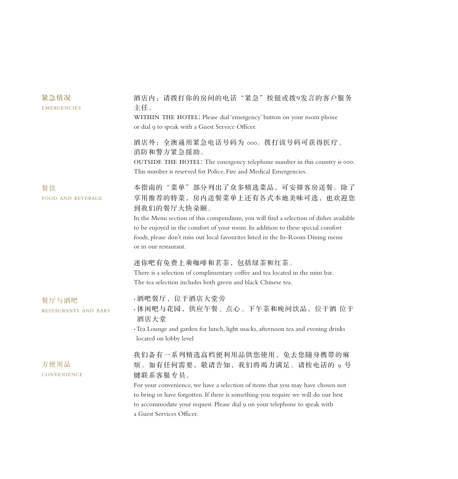| 紧急情况<br><b>EMERGENCIES</b>           | 酒店内: 请拨打你的房间的电话"紧急"按钮或拨9发言的客户服务<br>主任。<br>WITHIN THE HOTEL: Please dial 'emergency' button on your room phone<br>or dial 9 to speak with a Guest Service Officer.                                                                                                                                                                                                       |
|--------------------------------------|-------------------------------------------------------------------------------------------------------------------------------------------------------------------------------------------------------------------------------------------------------------------------------------------------------------------------------------------------------------------------|
|                                      | 酒店外: 全澳通用紧急电话号码为 ooo。拨打该号码可获得医疗、<br>消防和警方紧急援助。<br>OUTSIDE THE HOTEL: The emergency telephone number in this country is 000.<br>This number is reserved for Police, Fire and Medical Emergencies.                                                                                                                                                                        |
| 餐饮<br><b>FOOD AND BEVERAGE</b>       | 本指南的"菜单"部分列出了众多精选菜品,可安排客房送餐。除了<br>享用推荐的特菜,房内送餐菜单上还有各式本地美味可选,也欢迎您<br>到我们的餐厅大快朵颐。<br>In the Menu section of this compendium, you will find a selection of dishes available<br>to be enjoyed in the comfort of your room. In addition to these special comfort<br>foods, please don't miss our local favourites listed in the In-Room Dining menu<br>or in our restaurant. |
|                                      | 迷你吧有免费上乘咖啡和茗茶,包括绿茶和红茶。<br>There is a selection of complimentary coffee and tea located in the mini bar.<br>The tea selection includes both green and black Chinese tea.                                                                                                                                                                                                 |
| 餐厅与酒吧<br><b>RESTAURANTS AND BARS</b> | · 酒吧餐厅, 位于酒店大堂旁<br>·休闲吧与花园, 供应午餐、点心、下午茶和晚间饮品, 位于酒 位于<br>酒店大堂<br>· Tea Lounge and garden for lunch, light snacks, afternoon tea and evening drinks<br>located on lobby level                                                                                                                                                                                             |
| 方便用品<br><b>CONVENIENCE</b>           | 我们备有一系列精选高档便利用品供您使用, 免去您随身携带的麻<br>烦。如有任何需要, 敬请告知, 我们将竭力满足。请按电话的 9 号<br>键联系客服专员。<br>For your convenience, we have a selection of items that you may have chosen not<br>to bring or have forgotten. If there is something you require we will do our best<br>to accommodate your request. Please dial 9 on your telephone to speak with<br>a Guest Services Officer.      |